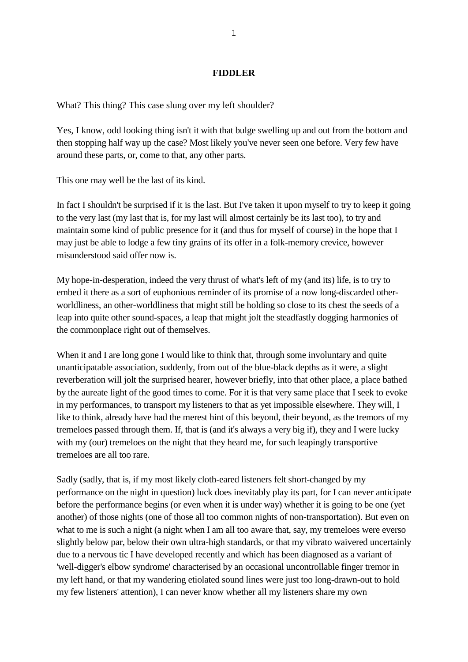### **FIDDLER**

What? This thing? This case slung over my left shoulder?

Yes, I know, odd looking thing isn't it with that bulge swelling up and out from the bottom and then stopping half way up the case? Most likely you've never seen one before. Very few have around these parts, or, come to that, any other parts.

This one may well be the last of its kind.

In fact I shouldn't be surprised if it is the last. But I've taken it upon myself to try to keep it going to the very last (my last that is, for my last will almost certainly be its last too), to try and maintain some kind of public presence for it (and thus for myself of course) in the hope that I may just be able to lodge a few tiny grains of its offer in a folk-memory crevice, however misunderstood said offer now is.

My hope-in-desperation, indeed the very thrust of what's left of my (and its) life, is to try to embed it there as a sort of euphonious reminder of its promise of a now long-discarded otherworldliness, an other-worldliness that might still be holding so close to its chest the seeds of a leap into quite other sound-spaces, a leap that might jolt the steadfastly dogging harmonies of the commonplace right out of themselves.

When it and I are long gone I would like to think that, through some involuntary and quite unanticipatable association, suddenly, from out of the blue-black depths as it were, a slight reverberation will jolt the surprised hearer, however briefly, into that other place, a place bathed by the aureate light of the good times to come. For it is that very same place that I seek to evoke in my performances, to transport my listeners to that as yet impossible elsewhere. They will, I like to think, already have had the merest hint of this beyond, their beyond, as the tremors of my tremeloes passed through them. If, that is (and it's always a very big if), they and I were lucky with my (our) tremeloes on the night that they heard me, for such leapingly transportive tremeloes are all too rare.

Sadly (sadly, that is, if my most likely cloth-eared listeners felt short-changed by my performance on the night in question) luck does inevitably play its part, for I can never anticipate before the performance begins (or even when it is under way) whether it is going to be one (yet another) of those nights (one of those all too common nights of non-transportation). But even on what to me is such a night (a night when I am all too aware that, say, my tremeloes were everso slightly below par, below their own ultra-high standards, or that my vibrato waivered uncertainly due to a nervous tic I have developed recently and which has been diagnosed as a variant of 'well-digger's elbow syndrome' characterised by an occasional uncontrollable finger tremor in my left hand, or that my wandering etiolated sound lines were just too long-drawn-out to hold my few listeners' attention), I can never know whether all my listeners share my own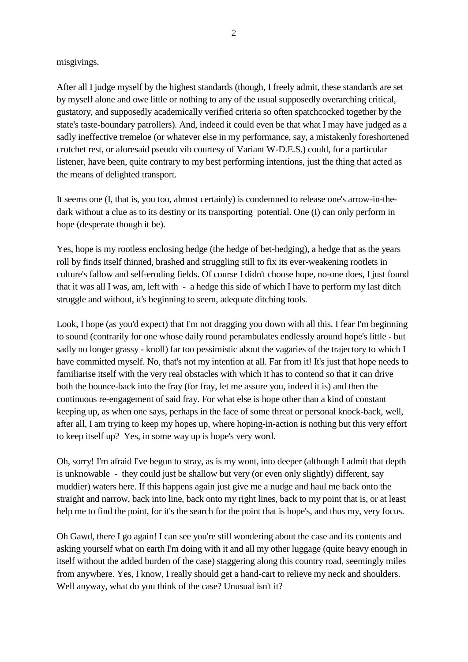## misgivings.

After all I judge myself by the highest standards (though, I freely admit, these standards are set by myself alone and owe little or nothing to any of the usual supposedly overarching critical, gustatory, and supposedly academically verified criteria so often spatchcocked together by the state's taste-boundary patrollers). And, indeed it could even be that what I may have judged as a sadly ineffective tremeloe (or whatever else in my performance, say, a mistakenly foreshortened crotchet rest, or aforesaid pseudo vib courtesy of Variant W-D.E.S.) could, for a particular listener, have been, quite contrary to my best performing intentions, just the thing that acted as the means of delighted transport.

It seems one (I, that is, you too, almost certainly) is condemned to release one's arrow-in-thedark without a clue as to its destiny or its transporting potential. One (I) can only perform in hope (desperate though it be).

Yes, hope is my rootless enclosing hedge (the hedge of bet-hedging), a hedge that as the years roll by finds itself thinned, brashed and struggling still to fix its ever-weakening rootlets in culture's fallow and self-eroding fields. Of course I didn't choose hope, no-one does, I just found that it was all I was, am, left with - a hedge this side of which I have to perform my last ditch struggle and without, it's beginning to seem, adequate ditching tools.

Look, I hope (as you'd expect) that I'm not dragging you down with all this. I fear I'm beginning to sound (contrarily for one whose daily round perambulates endlessly around hope's little - but sadly no longer grassy - knoll) far too pessimistic about the vagaries of the trajectory to which I have committed myself. No, that's not my intention at all. Far from it! It's just that hope needs to familiarise itself with the very real obstacles with which it has to contend so that it can drive both the bounce-back into the fray (for fray, let me assure you, indeed it is) and then the continuous re-engagement of said fray. For what else is hope other than a kind of constant keeping up, as when one says, perhaps in the face of some threat or personal knock-back, well, after all, I am trying to keep my hopes up, where hoping-in-action is nothing but this very effort to keep itself up? Yes, in some way up is hope's very word.

Oh, sorry! I'm afraid I've begun to stray, as is my wont, into deeper (although I admit that depth is unknowable - they could just be shallow but very (or even only slightly) different, say muddier) waters here. If this happens again just give me a nudge and haul me back onto the straight and narrow, back into line, back onto my right lines, back to my point that is, or at least help me to find the point, for it's the search for the point that is hope's, and thus my, very focus.

Oh Gawd, there I go again! I can see you're still wondering about the case and its contents and asking yourself what on earth I'm doing with it and all my other luggage (quite heavy enough in itself without the added burden of the case) staggering along this country road, seemingly miles from anywhere. Yes, I know, I really should get a hand-cart to relieve my neck and shoulders. Well anyway, what do you think of the case? Unusual isn't it?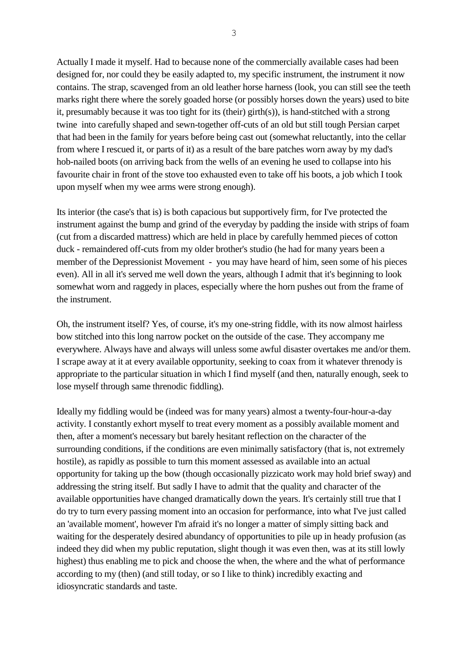Actually I made it myself. Had to because none of the commercially available cases had been designed for, nor could they be easily adapted to, my specific instrument, the instrument it now contains. The strap, scavenged from an old leather horse harness (look, you can still see the teeth marks right there where the sorely goaded horse (or possibly horses down the years) used to bite it, presumably because it was too tight for its (their) girth(s)), is hand-stitched with a strong twine into carefully shaped and sewn-together off-cuts of an old but still tough Persian carpet that had been in the family for years before being cast out (somewhat reluctantly, into the cellar from where I rescued it, or parts of it) as a result of the bare patches worn away by my dad's hob-nailed boots (on arriving back from the wells of an evening he used to collapse into his favourite chair in front of the stove too exhausted even to take off his boots, a job which I took upon myself when my wee arms were strong enough).

Its interior (the case's that is) is both capacious but supportively firm, for I've protected the instrument against the bump and grind of the everyday by padding the inside with strips of foam (cut from a discarded mattress) which are held in place by carefully hemmed pieces of cotton duck - remaindered off-cuts from my older brother's studio (he had for many years been a member of the Depressionist Movement - you may have heard of him, seen some of his pieces even). All in all it's served me well down the years, although I admit that it's beginning to look somewhat worn and raggedy in places, especially where the horn pushes out from the frame of the instrument.

Oh, the instrument itself? Yes, of course, it's my one-string fiddle, with its now almost hairless bow stitched into this long narrow pocket on the outside of the case. They accompany me everywhere. Always have and always will unless some awful disaster overtakes me and/or them. I scrape away at it at every available opportunity, seeking to coax from it whatever threnody is appropriate to the particular situation in which I find myself (and then, naturally enough, seek to lose myself through same threnodic fiddling).

Ideally my fiddling would be (indeed was for many years) almost a twenty-four-hour-a-day activity. I constantly exhort myself to treat every moment as a possibly available moment and then, after a moment's necessary but barely hesitant reflection on the character of the surrounding conditions, if the conditions are even minimally satisfactory (that is, not extremely hostile), as rapidly as possible to turn this moment assessed as available into an actual opportunity for taking up the bow (though occasionally pizzicato work may hold brief sway) and addressing the string itself. But sadly I have to admit that the quality and character of the available opportunities have changed dramatically down the years. It's certainly still true that I do try to turn every passing moment into an occasion for performance, into what I've just called an 'available moment', however I'm afraid it's no longer a matter of simply sitting back and waiting for the desperately desired abundancy of opportunities to pile up in heady profusion (as indeed they did when my public reputation, slight though it was even then, was at its still lowly highest) thus enabling me to pick and choose the when, the where and the what of performance according to my (then) (and still today, or so I like to think) incredibly exacting and idiosyncratic standards and taste.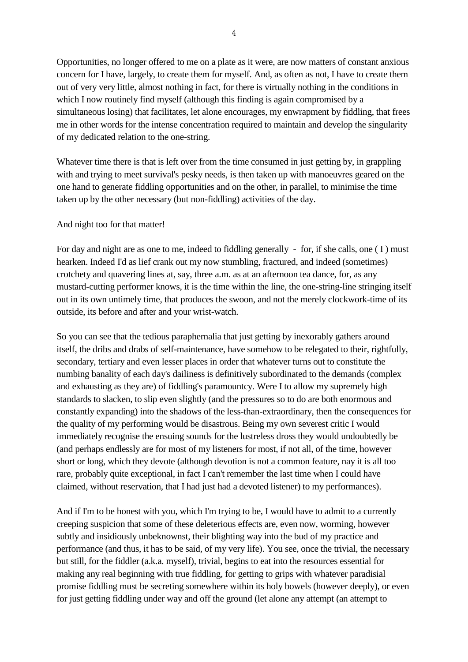Opportunities, no longer offered to me on a plate as it were, are now matters of constant anxious concern for I have, largely, to create them for myself. And, as often as not, I have to create them out of very very little, almost nothing in fact, for there is virtually nothing in the conditions in which I now routinely find myself (although this finding is again compromised by a simultaneous losing) that facilitates, let alone encourages, my enwrapment by fiddling, that frees me in other words for the intense concentration required to maintain and develop the singularity of my dedicated relation to the one-string.

Whatever time there is that is left over from the time consumed in just getting by, in grappling with and trying to meet survival's pesky needs, is then taken up with manoeuvres geared on the one hand to generate fiddling opportunities and on the other, in parallel, to minimise the time taken up by the other necessary (but non-fiddling) activities of the day.

### And night too for that matter!

For day and night are as one to me, indeed to fiddling generally - for, if she calls, one (I) must hearken. Indeed I'd as lief crank out my now stumbling, fractured, and indeed (sometimes) crotchety and quavering lines at, say, three a.m. as at an afternoon tea dance, for, as any mustard-cutting performer knows, it is the time within the line, the one-string-line stringing itself out in its own untimely time, that produces the swoon, and not the merely clockwork-time of its outside, its before and after and your wrist-watch.

So you can see that the tedious paraphernalia that just getting by inexorably gathers around itself, the dribs and drabs of self-maintenance, have somehow to be relegated to their, rightfully, secondary, tertiary and even lesser places in order that whatever turns out to constitute the numbing banality of each day's dailiness is definitively subordinated to the demands (complex and exhausting as they are) of fiddling's paramountcy. Were I to allow my supremely high standards to slacken, to slip even slightly (and the pressures so to do are both enormous and constantly expanding) into the shadows of the less-than-extraordinary, then the consequences for the quality of my performing would be disastrous. Being my own severest critic I would immediately recognise the ensuing sounds for the lustreless dross they would undoubtedly be (and perhaps endlessly are for most of my listeners for most, if not all, of the time, however short or long, which they devote (although devotion is not a common feature, nay it is all too rare, probably quite exceptional, in fact I can't remember the last time when I could have claimed, without reservation, that I had just had a devoted listener) to my performances).

And if I'm to be honest with you, which I'm trying to be, I would have to admit to a currently creeping suspicion that some of these deleterious effects are, even now, worming, however subtly and insidiously unbeknownst, their blighting way into the bud of my practice and performance (and thus, it has to be said, of my very life). You see, once the trivial, the necessary but still, for the fiddler (a.k.a. myself), trivial, begins to eat into the resources essential for making any real beginning with true fiddling, for getting to grips with whatever paradisial promise fiddling must be secreting somewhere within its holy bowels (however deeply), or even for just getting fiddling under way and off the ground (let alone any attempt (an attempt to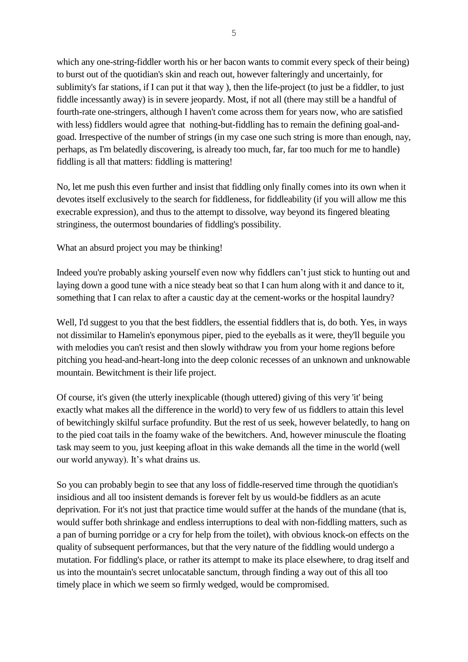which any one-string-fiddler worth his or her bacon wants to commit every speck of their being) to burst out of the quotidian's skin and reach out, however falteringly and uncertainly, for sublimity's far stations, if I can put it that way ), then the life-project (to just be a fiddler, to just fiddle incessantly away) is in severe jeopardy. Most, if not all (there may still be a handful of fourth-rate one-stringers, although I haven't come across them for years now, who are satisfied with less) fiddlers would agree that nothing-but-fiddling has to remain the defining goal-andgoad. Irrespective of the number of strings (in my case one such string is more than enough, nay, perhaps, as I'm belatedly discovering, is already too much, far, far too much for me to handle) fiddling is all that matters: fiddling is mattering!

No, let me push this even further and insist that fiddling only finally comes into its own when it devotes itself exclusively to the search for fiddleness, for fiddleability (if you will allow me this execrable expression), and thus to the attempt to dissolve, way beyond its fingered bleating stringiness, the outermost boundaries of fiddling's possibility.

What an absurd project you may be thinking!

Indeed you're probably asking yourself even now why fiddlers can't just stick to hunting out and laying down a good tune with a nice steady beat so that I can hum along with it and dance to it, something that I can relax to after a caustic day at the cement-works or the hospital laundry?

Well, I'd suggest to you that the best fiddlers, the essential fiddlers that is, do both. Yes, in ways not dissimilar to Hamelin's eponymous piper, pied to the eyeballs as it were, they'll beguile you with melodies you can't resist and then slowly withdraw you from your home regions before pitching you head-and-heart-long into the deep colonic recesses of an unknown and unknowable mountain. Bewitchment is their life project.

Of course, it's given (the utterly inexplicable (though uttered) giving of this very 'it' being exactly what makes all the difference in the world) to very few of us fiddlers to attain this level of bewitchingly skilful surface profundity. But the rest of us seek, however belatedly, to hang on to the pied coat tails in the foamy wake of the bewitchers. And, however minuscule the floating task may seem to you, just keeping afloat in this wake demands all the time in the world (well our world anyway). It's what drains us.

So you can probably begin to see that any loss of fiddle-reserved time through the quotidian's insidious and all too insistent demands is forever felt by us would-be fiddlers as an acute deprivation. For it's not just that practice time would suffer at the hands of the mundane (that is, would suffer both shrinkage and endless interruptions to deal with non-fiddling matters, such as a pan of burning porridge or a cry for help from the toilet), with obvious knock-on effects on the quality of subsequent performances, but that the very nature of the fiddling would undergo a mutation. For fiddling's place, or rather its attempt to make its place elsewhere, to drag itself and us into the mountain's secret unlocatable sanctum, through finding a way out of this all too timely place in which we seem so firmly wedged, would be compromised.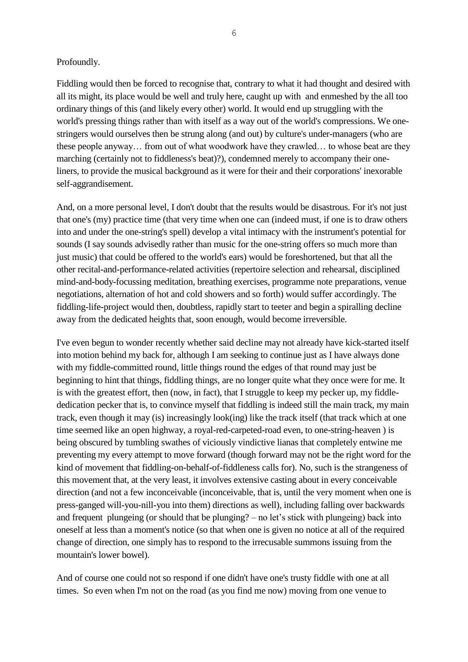### Profoundly.

Fiddling would then be forced to recognise that, contrary to what it had thought and desired with all its might, its place would be well and truly here, caught up with and enmeshed by the all too ordinary things of this (and likely every other) world. It would end up struggling with the world's pressing things rather than with itself as a way out of the world's compressions. We onestringers would ourselves then be strung along (and out) by culture's under-managers (who are these people anyway… from out of what woodwork have they crawled… to whose beat are they marching (certainly not to fiddleness's beat)?), condemned merely to accompany their oneliners, to provide the musical background as it were for their and their corporations' inexorable self-aggrandisement.

And, on a more personal level, I don't doubt that the results would be disastrous. For it's not just that one's (my) practice time (that very time when one can (indeed must, if one is to draw others into and under the one-string's spell) develop a vital intimacy with the instrument's potential for sounds (I say sounds advisedly rather than music for the one-string offers so much more than just music) that could be offered to the world's ears) would be foreshortened, but that all the other recital-and-performance-related activities (repertoire selection and rehearsal, disciplined mind-and-body-focussing meditation, breathing exercises, programme note preparations, venue negotiations, alternation of hot and cold showers and so forth) would suffer accordingly. The fiddling-life-project would then, doubtless, rapidly start to teeter and begin a spiralling decline away from the dedicated heights that, soon enough, would become irreversible.

I've even begun to wonder recently whether said decline may not already have kick-started itself into motion behind my back for, although I am seeking to continue just as I have always done with my fiddle-committed round, little things round the edges of that round may just be beginning to hint that things, fiddling things, are no longer quite what they once were for me. It is with the greatest effort, then (now, in fact), that I struggle to keep my pecker up, my fiddlededication pecker that is, to convince myself that fiddling is indeed still the main track, my main track, even though it may (is) increasingly look(ing) like the track itself (that track which at one time seemed like an open highway, a royal-red-carpeted-road even, to one-string-heaven ) is being obscured by tumbling swathes of viciously vindictive lianas that completely entwine me preventing my every attempt to move forward (though forward may not be the right word for the kind of movement that fiddling-on-behalf-of-fiddleness calls for). No, such is the strangeness of this movement that, at the very least, it involves extensive casting about in every conceivable direction (and not a few inconceivable (inconceivable, that is, until the very moment when one is press-ganged will-you-nill-you into them) directions as well), including falling over backwards and frequent plungeing (or should that be plunging? – no let's stick with plungeing) back into oneself at less than a moment's notice (so that when one is given no notice at all of the required change of direction, one simply has to respond to the irrecusable summons issuing from the mountain's lower bowel).

And of course one could not so respond if one didn't have one's trusty fiddle with one at all times. So even when I'm not on the road (as you find me now) moving from one venue to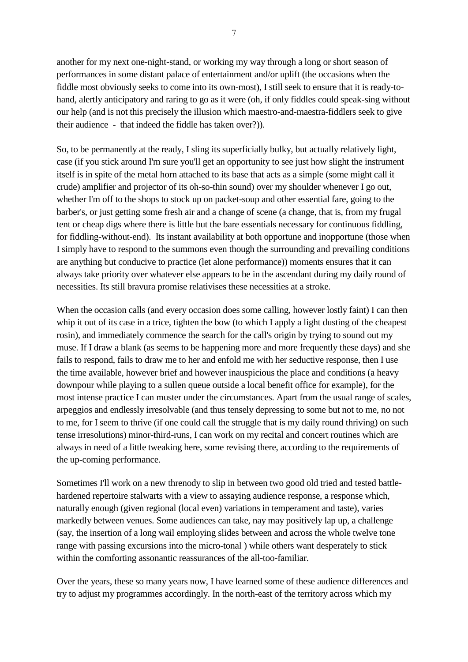another for my next one-night-stand, or working my way through a long or short season of performances in some distant palace of entertainment and/or uplift (the occasions when the fiddle most obviously seeks to come into its own-most), I still seek to ensure that it is ready-tohand, alertly anticipatory and raring to go as it were (oh, if only fiddles could speak-sing without our help (and is not this precisely the illusion which maestro-and-maestra-fiddlers seek to give their audience - that indeed the fiddle has taken over?)).

So, to be permanently at the ready, I sling its superficially bulky, but actually relatively light, case (if you stick around I'm sure you'll get an opportunity to see just how slight the instrument itself is in spite of the metal horn attached to its base that acts as a simple (some might call it crude) amplifier and projector of its oh-so-thin sound) over my shoulder whenever I go out, whether I'm off to the shops to stock up on packet-soup and other essential fare, going to the barber's, or just getting some fresh air and a change of scene (a change, that is, from my frugal tent or cheap digs where there is little but the bare essentials necessary for continuous fiddling, for fiddling-without-end). Its instant availability at both opportune and inopportune (those when I simply have to respond to the summons even though the surrounding and prevailing conditions are anything but conducive to practice (let alone performance)) moments ensures that it can always take priority over whatever else appears to be in the ascendant during my daily round of necessities. Its still bravura promise relativises these necessities at a stroke.

When the occasion calls (and every occasion does some calling, however lostly faint) I can then whip it out of its case in a trice, tighten the bow (to which I apply a light dusting of the cheapest rosin), and immediately commence the search for the call's origin by trying to sound out my muse. If I draw a blank (as seems to be happening more and more frequently these days) and she fails to respond, fails to draw me to her and enfold me with her seductive response, then I use the time available, however brief and however inauspicious the place and conditions (a heavy downpour while playing to a sullen queue outside a local benefit office for example), for the most intense practice I can muster under the circumstances. Apart from the usual range of scales, arpeggios and endlessly irresolvable (and thus tensely depressing to some but not to me, no not to me, for I seem to thrive (if one could call the struggle that is my daily round thriving) on such tense irresolutions) minor-third-runs, I can work on my recital and concert routines which are always in need of a little tweaking here, some revising there, according to the requirements of the up-coming performance.

Sometimes I'll work on a new threnody to slip in between two good old tried and tested battlehardened repertoire stalwarts with a view to assaying audience response, a response which, naturally enough (given regional (local even) variations in temperament and taste), varies markedly between venues. Some audiences can take, nay may positively lap up, a challenge (say, the insertion of a long wail employing slides between and across the whole twelve tone range with passing excursions into the micro-tonal ) while others want desperately to stick within the comforting assonantic reassurances of the all-too-familiar.

Over the years, these so many years now, I have learned some of these audience differences and try to adjust my programmes accordingly. In the north-east of the territory across which my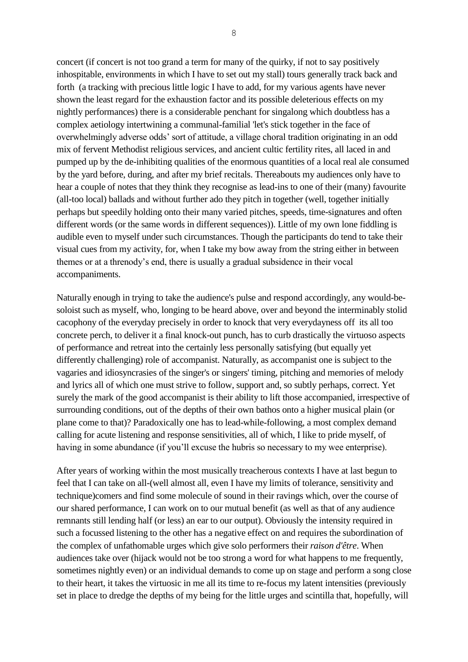concert (if concert is not too grand a term for many of the quirky, if not to say positively inhospitable, environments in which I have to set out my stall) tours generally track back and forth (a tracking with precious little logic I have to add, for my various agents have never shown the least regard for the exhaustion factor and its possible deleterious effects on my nightly performances) there is a considerable penchant for singalong which doubtless has a complex aetiology intertwining a communal-familial 'let's stick together in the face of overwhelmingly adverse odds' sort of attitude, a village choral tradition originating in an odd mix of fervent Methodist religious services, and ancient cultic fertility rites, all laced in and pumped up by the de-inhibiting qualities of the enormous quantities of a local real ale consumed by the yard before, during, and after my brief recitals. Thereabouts my audiences only have to hear a couple of notes that they think they recognise as lead-ins to one of their (many) favourite (all-too local) ballads and without further ado they pitch in together (well, together initially perhaps but speedily holding onto their many varied pitches, speeds, time-signatures and often different words (or the same words in different sequences)). Little of my own lone fiddling is audible even to myself under such circumstances. Though the participants do tend to take their visual cues from my activity, for, when I take my bow away from the string either in between themes or at a threnody's end, there is usually a gradual subsidence in their vocal accompaniments.

Naturally enough in trying to take the audience's pulse and respond accordingly, any would-besoloist such as myself, who, longing to be heard above, over and beyond the interminably stolid cacophony of the everyday precisely in order to knock that very everydayness off its all too concrete perch, to deliver it a final knock-out punch, has to curb drastically the virtuoso aspects of performance and retreat into the certainly less personally satisfying (but equally yet differently challenging) role of accompanist. Naturally, as accompanist one is subject to the vagaries and idiosyncrasies of the singer's or singers' timing, pitching and memories of melody and lyrics all of which one must strive to follow, support and, so subtly perhaps, correct. Yet surely the mark of the good accompanist is their ability to lift those accompanied, irrespective of surrounding conditions, out of the depths of their own bathos onto a higher musical plain (or plane come to that)? Paradoxically one has to lead-while-following, a most complex demand calling for acute listening and response sensitivities, all of which, I like to pride myself, of having in some abundance (if you'll excuse the hubris so necessary to my wee enterprise).

After years of working within the most musically treacherous contexts I have at last begun to feel that I can take on all-(well almost all, even I have my limits of tolerance, sensitivity and technique)comers and find some molecule of sound in their ravings which, over the course of our shared performance, I can work on to our mutual benefit (as well as that of any audience remnants still lending half (or less) an ear to our output). Obviously the intensity required in such a focussed listening to the other has a negative effect on and requires the subordination of the complex of unfathomable urges which give solo performers their *raison d'être*. When audiences take over (hijack would not be too strong a word for what happens to me frequently, sometimes nightly even) or an individual demands to come up on stage and perform a song close to their heart, it takes the virtuosic in me all its time to re-focus my latent intensities (previously set in place to dredge the depths of my being for the little urges and scintilla that, hopefully, will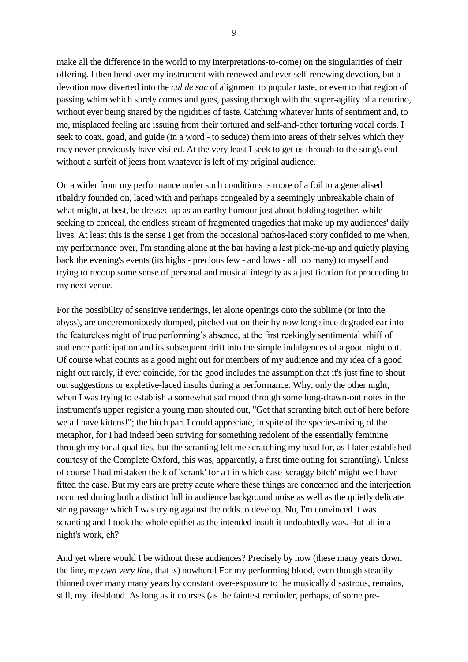make all the difference in the world to my interpretations-to-come) on the singularities of their offering. I then bend over my instrument with renewed and ever self-renewing devotion, but a devotion now diverted into the *cul de sac* of alignment to popular taste, or even to that region of passing whim which surely comes and goes, passing through with the super-agility of a neutrino, without ever being snared by the rigidities of taste. Catching whatever hints of sentiment and, to me, misplaced feeling are issuing from their tortured and self-and-other torturing vocal cords, I seek to coax, goad, and guide (in a word - to seduce) them into areas of their selves which they may never previously have visited. At the very least I seek to get us through to the song's end without a surfeit of jeers from whatever is left of my original audience.

On a wider front my performance under such conditions is more of a foil to a generalised ribaldry founded on, laced with and perhaps congealed by a seemingly unbreakable chain of what might, at best, be dressed up as an earthy humour just about holding together, while seeking to conceal, the endless stream of fragmented tragedies that make up my audiences' daily lives. At least this is the sense I get from the occasional pathos-laced story confided to me when, my performance over, I'm standing alone at the bar having a last pick-me-up and quietly playing back the evening's events (its highs - precious few - and lows - all too many) to myself and trying to recoup some sense of personal and musical integrity as a justification for proceeding to my next venue.

For the possibility of sensitive renderings, let alone openings onto the sublime (or into the abyss), are unceremoniously dumped, pitched out on their by now long since degraded ear into the featureless night of true performing's absence, at the first reekingly sentimental whiff of audience participation and its subsequent drift into the simple indulgences of a good night out. Of course what counts as a good night out for members of my audience and my idea of a good night out rarely, if ever coincide, for the good includes the assumption that it's just fine to shout out suggestions or expletive-laced insults during a performance. Why, only the other night, when I was trying to establish a somewhat sad mood through some long-drawn-out notes in the instrument's upper register a young man shouted out, "Get that scranting bitch out of here before we all have kittens!"; the bitch part I could appreciate, in spite of the species-mixing of the metaphor, for I had indeed been striving for something redolent of the essentially feminine through my tonal qualities, but the scranting left me scratching my head for, as I later established courtesy of the Complete Oxford, this was, apparently, a first time outing for scrant(ing). Unless of course I had mistaken the k of 'scrank' for a t in which case 'scraggy bitch' might well have fitted the case. But my ears are pretty acute where these things are concerned and the interjection occurred during both a distinct lull in audience background noise as well as the quietly delicate string passage which I was trying against the odds to develop. No, I'm convinced it was scranting and I took the whole epithet as the intended insult it undoubtedly was. But all in a night's work, eh?

And yet where would I be without these audiences? Precisely by now (these many years down the line, *my own very line*, that is) nowhere! For my performing blood, even though steadily thinned over many many years by constant over-exposure to the musically disastrous, remains, still, my life-blood. As long as it courses (as the faintest reminder, perhaps, of some pre-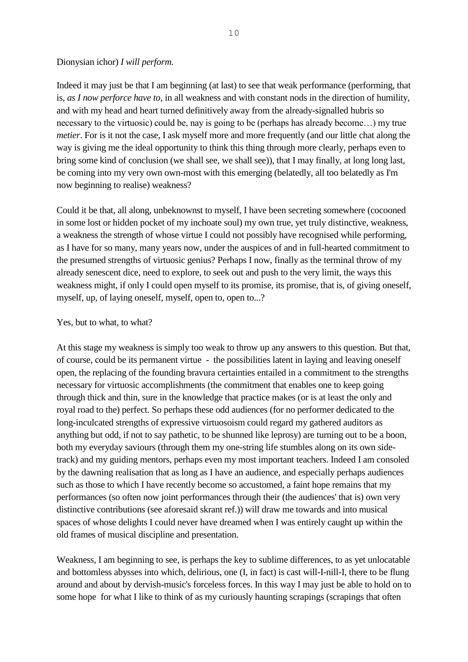#### Dionysian ichor) *I will perform.*

Indeed it may just be that I am beginning (at last) to see that weak performance (performing, that is, *as I now perforce have to*, in all weakness and with constant nods in the direction of humility, and with my head and heart turned definitively away from the already-signalled hubris so necessary to the virtuosic) could be, nay is going to be (perhaps has already become…) my true *metier*. For is it not the case, I ask myself more and more frequently (and our little chat along the way is giving me the ideal opportunity to think this thing through more clearly, perhaps even to bring some kind of conclusion (we shall see, we shall see)), that I may finally, at long long last, be coming into my very own own-most with this emerging (belatedly, all too belatedly as I'm now beginning to realise) weakness?

Could it be that, all along, unbeknownst to myself, I have been secreting somewhere (cocooned in some lost or hidden pocket of my inchoate soul) my own true, yet truly distinctive, weakness, a weakness the strength of whose virtue I could not possibly have recognised while performing, as I have for so many, many years now, under the auspices of and in full-hearted commitment to the presumed strengths of virtuosic genius? Perhaps I now, finally as the terminal throw of my already senescent dice, need to explore, to seek out and push to the very limit, the ways this weakness might, if only I could open myself to its promise, its promise, that is, of giving oneself, myself, up, of laying oneself, myself, open to, open to...?

#### Yes, but to what, to what?

At this stage my weakness is simply too weak to throw up any answers to this question. But that, of course, could be its permanent virtue - the possibilities latent in laying and leaving oneself open, the replacing of the founding bravura certainties entailed in a commitment to the strengths necessary for virtuosic accomplishments (the commitment that enables one to keep going through thick and thin, sure in the knowledge that practice makes (or is at least the only and royal road to the) perfect. So perhaps these odd audiences (for no performer dedicated to the long-inculcated strengths of expressive virtuosoism could regard my gathered auditors as anything but odd, if not to say pathetic, to be shunned like leprosy) are turning out to be a boon, both my everyday saviours (through them my one-string life stumbles along on its own sidetrack) and my guiding mentors, perhaps even my most important teachers. Indeed I am consoled by the dawning realisation that as long as I have an audience, and especially perhaps audiences such as those to which I have recently become so accustomed, a faint hope remains that my performances (so often now joint performances through their (the audiences' that is) own very distinctive contributions (see aforesaid skrant ref.)) will draw me towards and into musical spaces of whose delights I could never have dreamed when I was entirely caught up within the old frames of musical discipline and presentation.

Weakness, I am beginning to see, is perhaps the key to sublime differences, to as yet unlocatable and bottomless abysses into which, delirious, one (I, in fact) is cast will-I-nill-I, there to be flung around and about by dervish-music's forceless forces. In this way I may just be able to hold on to some hope for what I like to think of as my curiously haunting scrapings (scrapings that often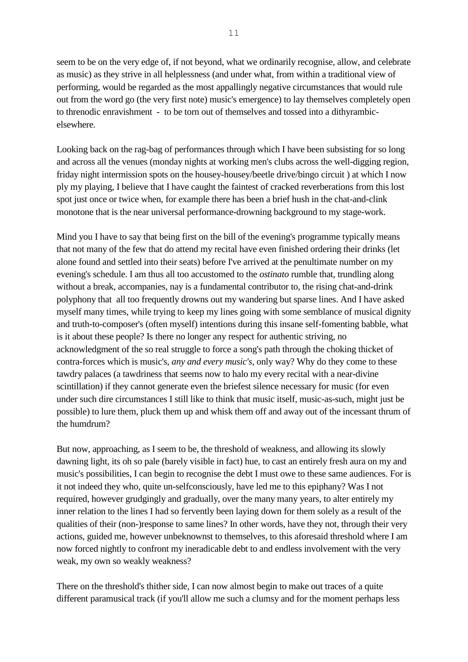seem to be on the very edge of, if not beyond, what we ordinarily recognise, allow, and celebrate as music) as they strive in all helplessness (and under what, from within a traditional view of performing, would be regarded as the most appallingly negative circumstances that would rule out from the word go (the very first note) music's emergence) to lay themselves completely open to threnodic enravishment - to be torn out of themselves and tossed into a dithyrambicelsewhere.

Looking back on the rag-bag of performances through which I have been subsisting for so long and across all the venues (monday nights at working men's clubs across the well-digging region, friday night intermission spots on the housey-housey/beetle drive/bingo circuit ) at which I now ply my playing, I believe that I have caught the faintest of cracked reverberations from this lost spot just once or twice when, for example there has been a brief hush in the chat-and-clink monotone that is the near universal performance-drowning background to my stage-work.

Mind you I have to say that being first on the bill of the evening's programme typically means that not many of the few that do attend my recital have even finished ordering their drinks (let alone found and settled into their seats) before I've arrived at the penultimate number on my evening's schedule. I am thus all too accustomed to the *ostinato* rumble that, trundling along without a break, accompanies, nay is a fundamental contributor to, the rising chat-and-drink polyphony that all too frequently drowns out my wandering but sparse lines. And I have asked myself many times, while trying to keep my lines going with some semblance of musical dignity and truth-to-composer's (often myself) intentions during this insane self-fomenting babble, what is it about these people? Is there no longer any respect for authentic striving, no acknowledgment of the so real struggle to force a song's path through the choking thicket of contra-forces which is music's, *any and every music's*, only way? Why do they come to these tawdry palaces (a tawdriness that seems now to halo my every recital with a near-divine scintillation) if they cannot generate even the briefest silence necessary for music (for even under such dire circumstances I still like to think that music itself, music-as-such, might just be possible) to lure them, pluck them up and whisk them off and away out of the incessant thrum of the humdrum?

But now, approaching, as I seem to be, the threshold of weakness, and allowing its slowly dawning light, its oh so pale (barely visible in fact) hue, to cast an entirely fresh aura on my and music's possibilities, I can begin to recognise the debt I must owe to these same audiences. For is it not indeed they who, quite un-selfconsciously, have led me to this epiphany? Was I not required, however grudgingly and gradually, over the many many years, to alter entirely my inner relation to the lines I had so fervently been laying down for them solely as a result of the qualities of their (non-)response to same lines? In other words, have they not, through their very actions, guided me, however unbeknownst to themselves, to this aforesaid threshold where I am now forced nightly to confront my ineradicable debt to and endless involvement with the very weak, my own so weakly weakness?

There on the threshold's thither side, I can now almost begin to make out traces of a quite different paramusical track (if you'll allow me such a clumsy and for the moment perhaps less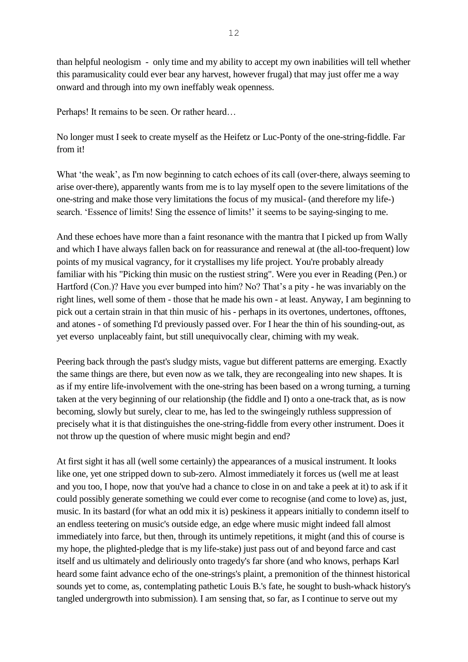12

than helpful neologism - only time and my ability to accept my own inabilities will tell whether this paramusicality could ever bear any harvest, however frugal) that may just offer me a way onward and through into my own ineffably weak openness.

Perhaps! It remains to be seen. Or rather heard…

No longer must I seek to create myself as the Heifetz or Luc-Ponty of the one-string-fiddle. Far from it!

What 'the weak', as I'm now beginning to catch echoes of its call (over-there, always seeming to arise over-there), apparently wants from me is to lay myself open to the severe limitations of the one-string and make those very limitations the focus of my musical- (and therefore my life-) search. 'Essence of limits! Sing the essence of limits!' it seems to be saying-singing to me.

And these echoes have more than a faint resonance with the mantra that I picked up from Wally and which I have always fallen back on for reassurance and renewal at (the all-too-frequent) low points of my musical vagrancy, for it crystallises my life project. You're probably already familiar with his "Picking thin music on the rustiest string". Were you ever in Reading (Pen.) or Hartford (Con.)? Have you ever bumped into him? No? That's a pity - he was invariably on the right lines, well some of them - those that he made his own - at least. Anyway, I am beginning to pick out a certain strain in that thin music of his - perhaps in its overtones, undertones, offtones, and atones - of something I'd previously passed over. For I hear the thin of his sounding-out, as yet everso unplaceably faint, but still unequivocally clear, chiming with my weak.

Peering back through the past's sludgy mists, vague but different patterns are emerging. Exactly the same things are there, but even now as we talk, they are recongealing into new shapes. It is as if my entire life-involvement with the one-string has been based on a wrong turning, a turning taken at the very beginning of our relationship (the fiddle and I) onto a one-track that, as is now becoming, slowly but surely, clear to me, has led to the swingeingly ruthless suppression of precisely what it is that distinguishes the one-string-fiddle from every other instrument. Does it not throw up the question of where music might begin and end?

At first sight it has all (well some certainly) the appearances of a musical instrument. It looks like one, yet one stripped down to sub-zero. Almost immediately it forces us (well me at least and you too, I hope, now that you've had a chance to close in on and take a peek at it) to ask if it could possibly generate something we could ever come to recognise (and come to love) as, just, music. In its bastard (for what an odd mix it is) peskiness it appears initially to condemn itself to an endless teetering on music's outside edge, an edge where music might indeed fall almost immediately into farce, but then, through its untimely repetitions, it might (and this of course is my hope, the plighted-pledge that is my life-stake) just pass out of and beyond farce and cast itself and us ultimately and deliriously onto tragedy's far shore (and who knows, perhaps Karl heard some faint advance echo of the one-strings's plaint, a premonition of the thinnest historical sounds yet to come, as, contemplating pathetic Louis B.'s fate, he sought to bush-whack history's tangled undergrowth into submission). I am sensing that, so far, as I continue to serve out my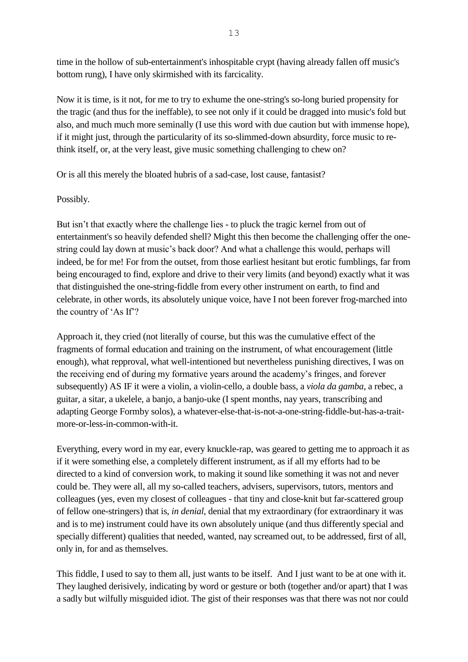time in the hollow of sub-entertainment's inhospitable crypt (having already fallen off music's bottom rung), I have only skirmished with its farcicality.

Now it is time, is it not, for me to try to exhume the one-string's so-long buried propensity for the tragic (and thus for the ineffable), to see not only if it could be dragged into music's fold but also, and much much more seminally (I use this word with due caution but with immense hope), if it might just, through the particularity of its so-slimmed-down absurdity, force music to rethink itself, or, at the very least, give music something challenging to chew on?

Or is all this merely the bloated hubris of a sad-case, lost cause, fantasist?

# Possibly.

But isn't that exactly where the challenge lies - to pluck the tragic kernel from out of entertainment's so heavily defended shell? Might this then become the challenging offer the onestring could lay down at music's back door? And what a challenge this would, perhaps will indeed, be for me! For from the outset, from those earliest hesitant but erotic fumblings, far from being encouraged to find, explore and drive to their very limits (and beyond) exactly what it was that distinguished the one-string-fiddle from every other instrument on earth, to find and celebrate, in other words, its absolutely unique voice, have I not been forever frog-marched into the country of 'As If'?

Approach it, they cried (not literally of course, but this was the cumulative effect of the fragments of formal education and training on the instrument, of what encouragement (little enough), what repproval, what well-intentioned but nevertheless punishing directives, I was on the receiving end of during my formative years around the academy's fringes, and forever subsequently) AS IF it were a violin, a violin-cello, a double bass, a *viola da gamba*, a rebec, a guitar, a sitar, a ukelele, a banjo, a banjo-uke (I spent months, nay years, transcribing and adapting George Formby solos), a whatever-else-that-is-not-a-one-string-fiddle-but-has-a-traitmore-or-less-in-common-with-it.

Everything, every word in my ear, every knuckle-rap, was geared to getting me to approach it as if it were something else, a completely different instrument, as if all my efforts had to be directed to a kind of conversion work, to making it sound like something it was not and never could be. They were all, all my so-called teachers, advisers, supervisors, tutors, mentors and colleagues (yes, even my closest of colleagues - that tiny and close-knit but far-scattered group of fellow one-stringers) that is, *in denial*, denial that my extraordinary (for extraordinary it was and is to me) instrument could have its own absolutely unique (and thus differently special and specially different) qualities that needed, wanted, nay screamed out, to be addressed, first of all, only in, for and as themselves.

This fiddle, I used to say to them all, just wants to be itself. And I just want to be at one with it. They laughed derisively, indicating by word or gesture or both (together and/or apart) that I was a sadly but wilfully misguided idiot. The gist of their responses was that there was not nor could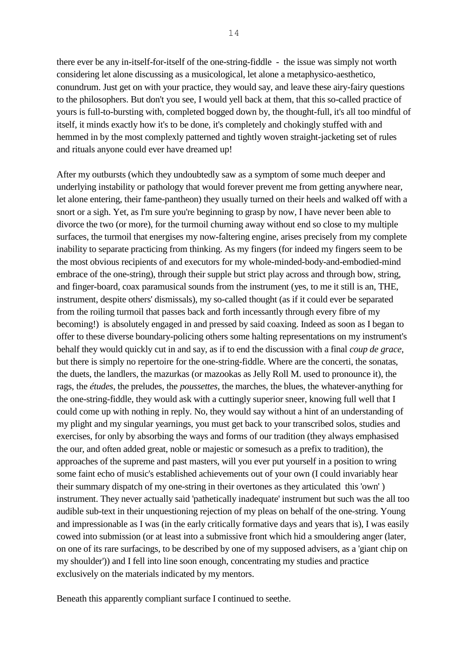there ever be any in-itself-for-itself of the one-string-fiddle - the issue was simply not worth considering let alone discussing as a musicological, let alone a metaphysico-aesthetico, conundrum. Just get on with your practice, they would say, and leave these airy-fairy questions to the philosophers. But don't you see, I would yell back at them, that this so-called practice of yours is full-to-bursting with, completed bogged down by, the thought-full, it's all too mindful of itself, it minds exactly how it's to be done, it's completely and chokingly stuffed with and hemmed in by the most complexly patterned and tightly woven straight-jacketing set of rules and rituals anyone could ever have dreamed up!

After my outbursts (which they undoubtedly saw as a symptom of some much deeper and underlying instability or pathology that would forever prevent me from getting anywhere near, let alone entering, their fame-pantheon) they usually turned on their heels and walked off with a snort or a sigh. Yet, as I'm sure you're beginning to grasp by now, I have never been able to divorce the two (or more), for the turmoil churning away without end so close to my multiple surfaces, the turmoil that energises my now-faltering engine, arises precisely from my complete inability to separate practicing from thinking. As my fingers (for indeed my fingers seem to be the most obvious recipients of and executors for my whole-minded-body-and-embodied-mind embrace of the one-string), through their supple but strict play across and through bow, string, and finger-board, coax paramusical sounds from the instrument (yes, to me it still is an, THE, instrument, despite others' dismissals), my so-called thought (as if it could ever be separated from the roiling turmoil that passes back and forth incessantly through every fibre of my becoming!) is absolutely engaged in and pressed by said coaxing. Indeed as soon as I began to offer to these diverse boundary-policing others some halting representations on my instrument's behalf they would quickly cut in and say, as if to end the discussion with a final *coup de grace*, but there is simply no repertoire for the one-string-fiddle. Where are the concerti, the sonatas, the duets, the landlers, the mazurkas (or mazookas as Jelly Roll M. used to pronounce it), the rags, the *études*, the preludes, the *poussettes*, the marches, the blues, the whatever-anything for the one-string-fiddle, they would ask with a cuttingly superior sneer, knowing full well that I could come up with nothing in reply. No, they would say without a hint of an understanding of my plight and my singular yearnings, you must get back to your transcribed solos, studies and exercises, for only by absorbing the ways and forms of our tradition (they always emphasised the our, and often added great, noble or majestic or somesuch as a prefix to tradition), the approaches of the supreme and past masters, will you ever put yourself in a position to wring some faint echo of music's established achievements out of your own (I could invariably hear their summary dispatch of my one-string in their overtones as they articulated this 'own' ) instrument. They never actually said 'pathetically inadequate' instrument but such was the all too audible sub-text in their unquestioning rejection of my pleas on behalf of the one-string. Young and impressionable as I was (in the early critically formative days and years that is), I was easily cowed into submission (or at least into a submissive front which hid a smouldering anger (later, on one of its rare surfacings, to be described by one of my supposed advisers, as a 'giant chip on my shoulder')) and I fell into line soon enough, concentrating my studies and practice exclusively on the materials indicated by my mentors.

Beneath this apparently compliant surface I continued to seethe.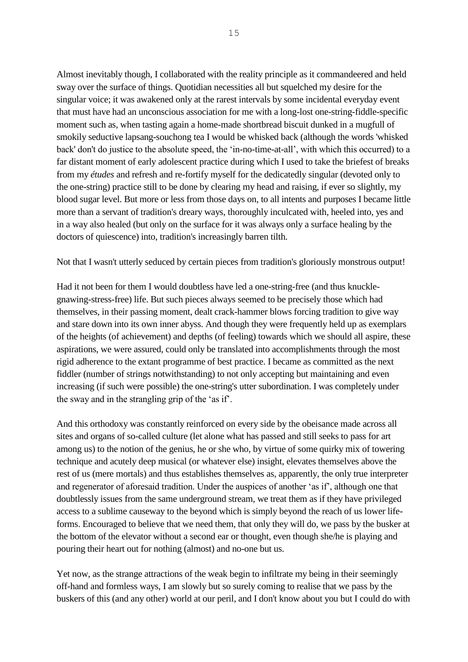Almost inevitably though, I collaborated with the reality principle as it commandeered and held sway over the surface of things. Quotidian necessities all but squelched my desire for the singular voice; it was awakened only at the rarest intervals by some incidental everyday event that must have had an unconscious association for me with a long-lost one-string-fiddle-specific moment such as, when tasting again a home-made shortbread biscuit dunked in a mugfull of smokily seductive lapsang-souchong tea I would be whisked back (although the words 'whisked back' don't do justice to the absolute speed, the 'in-no-time-at-all', with which this occurred) to a far distant moment of early adolescent practice during which I used to take the briefest of breaks from my *études* and refresh and re-fortify myself for the dedicatedly singular (devoted only to the one-string) practice still to be done by clearing my head and raising, if ever so slightly, my blood sugar level. But more or less from those days on, to all intents and purposes I became little more than a servant of tradition's dreary ways, thoroughly inculcated with, heeled into, yes and in a way also healed (but only on the surface for it was always only a surface healing by the doctors of quiescence) into, tradition's increasingly barren tilth.

Not that I wasn't utterly seduced by certain pieces from tradition's gloriously monstrous output!

Had it not been for them I would doubtless have led a one-string-free (and thus knucklegnawing-stress-free) life. But such pieces always seemed to be precisely those which had themselves, in their passing moment, dealt crack-hammer blows forcing tradition to give way and stare down into its own inner abyss. And though they were frequently held up as exemplars of the heights (of achievement) and depths (of feeling) towards which we should all aspire, these aspirations, we were assured, could only be translated into accomplishments through the most rigid adherence to the extant programme of best practice. I became as committed as the next fiddler (number of strings notwithstanding) to not only accepting but maintaining and even increasing (if such were possible) the one-string's utter subordination. I was completely under the sway and in the strangling grip of the 'as if'.

And this orthodoxy was constantly reinforced on every side by the obeisance made across all sites and organs of so-called culture (let alone what has passed and still seeks to pass for art among us) to the notion of the genius, he or she who, by virtue of some quirky mix of towering technique and acutely deep musical (or whatever else) insight, elevates themselves above the rest of us (mere mortals) and thus establishes themselves as, apparently, the only true interpreter and regenerator of aforesaid tradition. Under the auspices of another 'as if', although one that doubtlessly issues from the same underground stream, we treat them as if they have privileged access to a sublime causeway to the beyond which is simply beyond the reach of us lower lifeforms. Encouraged to believe that we need them, that only they will do, we pass by the busker at the bottom of the elevator without a second ear or thought, even though she/he is playing and pouring their heart out for nothing (almost) and no-one but us.

Yet now, as the strange attractions of the weak begin to infiltrate my being in their seemingly off-hand and formless ways, I am slowly but so surely coming to realise that we pass by the buskers of this (and any other) world at our peril, and I don't know about you but I could do with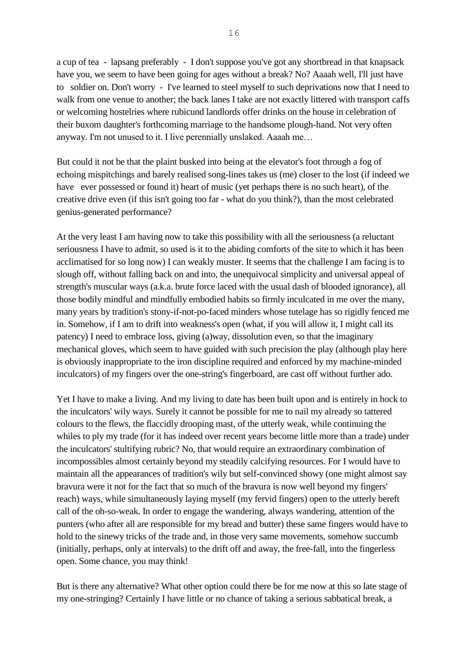a cup of tea - lapsang preferably - I don't suppose you've got any shortbread in that knapsack have you, we seem to have been going for ages without a break? No? Aaaah well, I'll just have to soldier on. Don't worry - I've learned to steel myself to such deprivations now that I need to walk from one venue to another; the back lanes I take are not exactly littered with transport caffs or welcoming hostelries where rubicund landlords offer drinks on the house in celebration of their buxom daughter's forthcoming marriage to the handsome plough-hand. Not very often anyway. I'm not unused to it. I live perennially unslaked. Aaaah me…

But could it not be that the plaint busked into being at the elevator's foot through a fog of echoing mispitchings and barely realised song-lines takes us (me) closer to the lost (if indeed we have ever possessed or found it) heart of music (yet perhaps there is no such heart), of the creative drive even (if this isn't going too far - what do you think?), than the most celebrated genius-generated performance?

At the very least I am having now to take this possibility with all the seriousness (a reluctant seriousness I have to admit, so used is it to the abiding comforts of the site to which it has been acclimatised for so long now) I can weakly muster. It seems that the challenge I am facing is to slough off, without falling back on and into, the unequivocal simplicity and universal appeal of strength's muscular ways (a.k.a. brute force laced with the usual dash of blooded ignorance), all those bodily mindful and mindfully embodied habits so firmly inculcated in me over the many, many years by tradition's stony-if-not-po-faced minders whose tutelage has so rigidly fenced me in. Somehow, if I am to drift into weakness's open (what, if you will allow it, I might call its patency) I need to embrace loss, giving (a)way, dissolution even, so that the imaginary mechanical gloves, which seem to have guided with such precision the play (although play here is obviously inappropriate to the iron discipline required and enforced by my machine-minded inculcators) of my fingers over the one-string's fingerboard, are cast off without further ado.

Yet I have to make a living. And my living to date has been built upon and is entirely in hock to the inculcators' wily ways. Surely it cannot be possible for me to nail my already so tattered colours to the flews, the flaccidly drooping mast, of the utterly weak, while continuing the whiles to ply my trade (for it has indeed over recent years become little more than a trade) under the inculcators' stultifying rubric? No, that would require an extraordinary combination of incompossibles almost certainly beyond my steadily calcifying resources. For I would have to maintain all the appearances of tradition's wily but self-convinced showy (one might almost say bravura were it not for the fact that so much of the bravura is now well beyond my fingers' reach) ways, while simultaneously laying myself (my fervid fingers) open to the utterly bereft call of the oh-so-weak. In order to engage the wandering, always wandering, attention of the punters (who after all are responsible for my bread and butter) these same fingers would have to hold to the sinewy tricks of the trade and, in those very same movements, somehow succumb (initially, perhaps, only at intervals) to the drift off and away, the free-fall, into the fingerless open. Some chance, you may think!

But is there any alternative? What other option could there be for me now at this so late stage of my one-stringing? Certainly I have little or no chance of taking a serious sabbatical break, a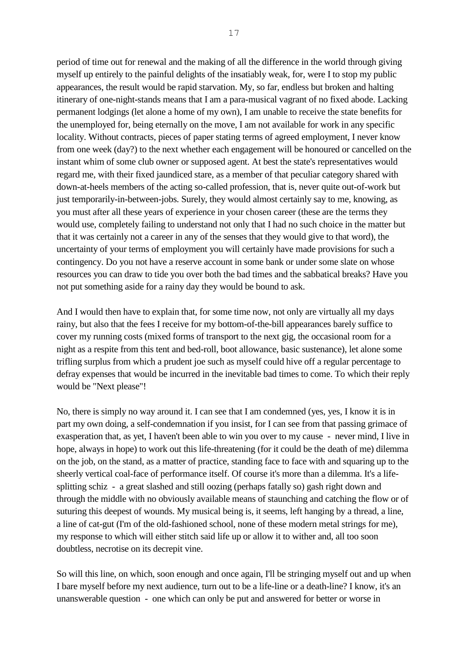period of time out for renewal and the making of all the difference in the world through giving myself up entirely to the painful delights of the insatiably weak, for, were I to stop my public appearances, the result would be rapid starvation. My, so far, endless but broken and halting itinerary of one-night-stands means that I am a para-musical vagrant of no fixed abode. Lacking permanent lodgings (let alone a home of my own), I am unable to receive the state benefits for the unemployed for, being eternally on the move, I am not available for work in any specific locality. Without contracts, pieces of paper stating terms of agreed employment, I never know from one week (day?) to the next whether each engagement will be honoured or cancelled on the instant whim of some club owner or supposed agent. At best the state's representatives would regard me, with their fixed jaundiced stare, as a member of that peculiar category shared with down-at-heels members of the acting so-called profession, that is, never quite out-of-work but just temporarily-in-between-jobs. Surely, they would almost certainly say to me, knowing, as you must after all these years of experience in your chosen career (these are the terms they would use, completely failing to understand not only that I had no such choice in the matter but that it was certainly not a career in any of the senses that they would give to that word), the uncertainty of your terms of employment you will certainly have made provisions for such a contingency. Do you not have a reserve account in some bank or under some slate on whose resources you can draw to tide you over both the bad times and the sabbatical breaks? Have you not put something aside for a rainy day they would be bound to ask.

And I would then have to explain that, for some time now, not only are virtually all my days rainy, but also that the fees I receive for my bottom-of-the-bill appearances barely suffice to cover my running costs (mixed forms of transport to the next gig, the occasional room for a night as a respite from this tent and bed-roll, boot allowance, basic sustenance), let alone some trifling surplus from which a prudent joe such as myself could hive off a regular percentage to defray expenses that would be incurred in the inevitable bad times to come. To which their reply would be "Next please"!

No, there is simply no way around it. I can see that I am condemned (yes, yes, I know it is in part my own doing, a self-condemnation if you insist, for I can see from that passing grimace of exasperation that, as yet, I haven't been able to win you over to my cause - never mind, I live in hope, always in hope) to work out this life-threatening (for it could be the death of me) dilemma on the job, on the stand, as a matter of practice, standing face to face with and squaring up to the sheerly vertical coal-face of performance itself. Of course it's more than a dilemma. It's a lifesplitting schiz - a great slashed and still oozing (perhaps fatally so) gash right down and through the middle with no obviously available means of staunching and catching the flow or of suturing this deepest of wounds. My musical being is, it seems, left hanging by a thread, a line, a line of cat-gut (I'm of the old-fashioned school, none of these modern metal strings for me), my response to which will either stitch said life up or allow it to wither and, all too soon doubtless, necrotise on its decrepit vine.

So will this line, on which, soon enough and once again, I'll be stringing myself out and up when I bare myself before my next audience, turn out to be a life-line or a death-line? I know, it's an unanswerable question - one which can only be put and answered for better or worse in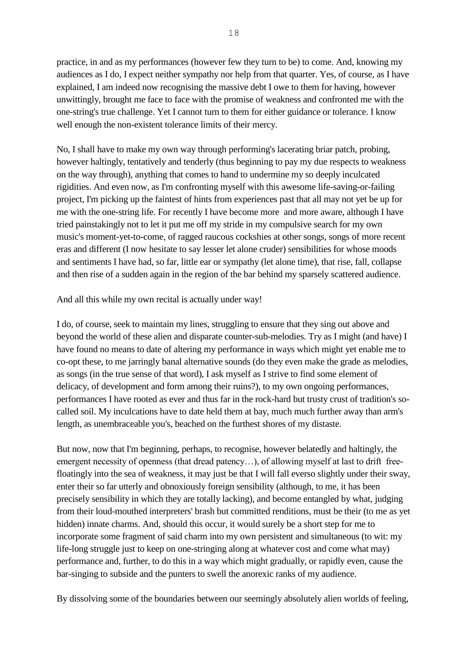practice, in and as my performances (however few they turn to be) to come. And, knowing my audiences as I do, I expect neither sympathy nor help from that quarter. Yes, of course, as I have explained, I am indeed now recognising the massive debt I owe to them for having, however unwittingly, brought me face to face with the promise of weakness and confronted me with the one-string's true challenge. Yet I cannot turn to them for either guidance or tolerance. I know well enough the non-existent tolerance limits of their mercy.

No, I shall have to make my own way through performing's lacerating briar patch, probing, however haltingly, tentatively and tenderly (thus beginning to pay my due respects to weakness on the way through), anything that comes to hand to undermine my so deeply inculcated rigidities. And even now, as I'm confronting myself with this awesome life-saving-or-failing project, I'm picking up the faintest of hints from experiences past that all may not yet be up for me with the one-string life. For recently I have become more and more aware, although I have tried painstakingly not to let it put me off my stride in my compulsive search for my own music's moment-yet-to-come, of ragged raucous cockshies at other songs, songs of more recent eras and different (I now hesitate to say lesser let alone cruder) sensibilities for whose moods and sentiments I have had, so far, little ear or sympathy (let alone time), that rise, fall, collapse and then rise of a sudden again in the region of the bar behind my sparsely scattered audience.

And all this while my own recital is actually under way!

I do, of course, seek to maintain my lines, struggling to ensure that they sing out above and beyond the world of these alien and disparate counter-sub-melodies. Try as I might (and have) I have found no means to date of altering my performance in ways which might yet enable me to co-opt these, to me jarringly banal alternative sounds (do they even make the grade as melodies, as songs (in the true sense of that word), I ask myself as I strive to find some element of delicacy, of development and form among their ruins?), to my own ongoing performances, performances I have rooted as ever and thus far in the rock-hard but trusty crust of tradition's socalled soil. My inculcations have to date held them at bay, much much further away than arm's length, as unembraceable you's, beached on the furthest shores of my distaste.

But now, now that I'm beginning, perhaps, to recognise, however belatedly and haltingly, the emergent necessity of openness (that dread patency...), of allowing myself at last to drift freefloatingly into the sea of weakness, it may just be that I will fall everso slightly under their sway, enter their so far utterly and obnoxiously foreign sensibility (although, to me, it has been precisely sensibility in which they are totally lacking), and become entangled by what, judging from their loud-mouthed interpreters' brash but committed renditions, must be their (to me as yet hidden) innate charms. And, should this occur, it would surely be a short step for me to incorporate some fragment of said charm into my own persistent and simultaneous (to wit: my life-long struggle just to keep on one-stringing along at whatever cost and come what may) performance and, further, to do this in a way which might gradually, or rapidly even, cause the bar-singing to subside and the punters to swell the anorexic ranks of my audience.

By dissolving some of the boundaries between our seemingly absolutely alien worlds of feeling,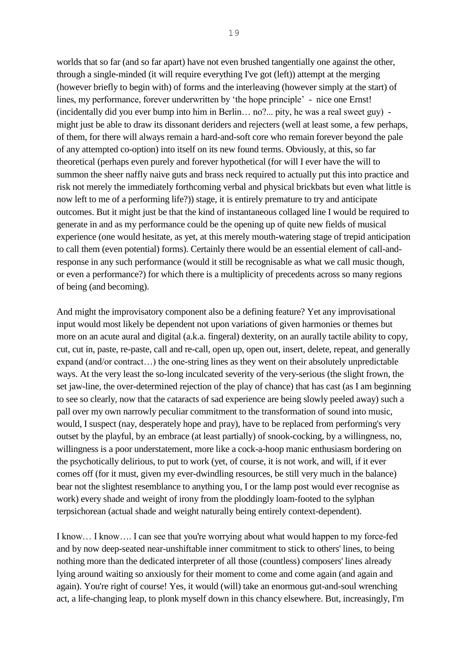worlds that so far (and so far apart) have not even brushed tangentially one against the other, through a single-minded (it will require everything I've got (left)) attempt at the merging (however briefly to begin with) of forms and the interleaving (however simply at the start) of lines, my performance, forever underwritten by 'the hope principle' - nice one Ernst! (incidentally did you ever bump into him in Berlin… no?... pity, he was a real sweet guy) might just be able to draw its dissonant deriders and rejecters (well at least some, a few perhaps, of them, for there will always remain a hard-and-soft core who remain forever beyond the pale of any attempted co-option) into itself on its new found terms. Obviously, at this, so far theoretical (perhaps even purely and forever hypothetical (for will I ever have the will to summon the sheer naffly naive guts and brass neck required to actually put this into practice and risk not merely the immediately forthcoming verbal and physical brickbats but even what little is now left to me of a performing life?)) stage, it is entirely premature to try and anticipate outcomes. But it might just be that the kind of instantaneous collaged line I would be required to generate in and as my performance could be the opening up of quite new fields of musical experience (one would hesitate, as yet, at this merely mouth-watering stage of trepid anticipation to call them (even potential) forms). Certainly there would be an essential element of call-andresponse in any such performance (would it still be recognisable as what we call music though, or even a performance?) for which there is a multiplicity of precedents across so many regions of being (and becoming).

And might the improvisatory component also be a defining feature? Yet any improvisational input would most likely be dependent not upon variations of given harmonies or themes but more on an acute aural and digital (a.k.a. fingeral) dexterity, on an aurally tactile ability to copy, cut, cut in, paste, re-paste, call and re-call, open up, open out, insert, delete, repeat, and generally expand (and/or contract…) the one-string lines as they went on their absolutely unpredictable ways. At the very least the so-long inculcated severity of the very-serious (the slight frown, the set jaw-line, the over-determined rejection of the play of chance) that has cast (as I am beginning to see so clearly, now that the cataracts of sad experience are being slowly peeled away) such a pall over my own narrowly peculiar commitment to the transformation of sound into music, would, I suspect (nay, desperately hope and pray), have to be replaced from performing's very outset by the playful, by an embrace (at least partially) of snook-cocking, by a willingness, no, willingness is a poor understatement, more like a cock-a-hoop manic enthusiasm bordering on the psychotically delirious, to put to work (yet, of course, it is not work, and will, if it ever comes off (for it must, given my ever-dwindling resources, be still very much in the balance) bear not the slightest resemblance to anything you, I or the lamp post would ever recognise as work) every shade and weight of irony from the ploddingly loam-footed to the sylphan terpsichorean (actual shade and weight naturally being entirely context-dependent).

I know… I know…. I can see that you're worrying about what would happen to my force-fed and by now deep-seated near-unshiftable inner commitment to stick to others' lines, to being nothing more than the dedicated interpreter of all those (countless) composers' lines already lying around waiting so anxiously for their moment to come and come again (and again and again). You're right of course! Yes, it would (will) take an enormous gut-and-soul wrenching act, a life-changing leap, to plonk myself down in this chancy elsewhere. But, increasingly, I'm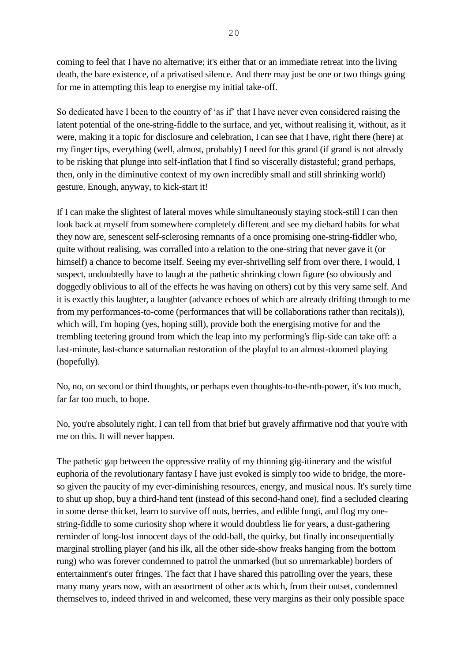coming to feel that I have no alternative; it's either that or an immediate retreat into the living death, the bare existence, of a privatised silence. And there may just be one or two things going for me in attempting this leap to energise my initial take-off.

So dedicated have I been to the country of 'as if' that I have never even considered raising the latent potential of the one-string-fiddle to the surface, and yet, without realising it, without, as it were, making it a topic for disclosure and celebration, I can see that I have, right there (here) at my finger tips, everything (well, almost, probably) I need for this grand (if grand is not already to be risking that plunge into self-inflation that I find so viscerally distasteful; grand perhaps, then, only in the diminutive context of my own incredibly small and still shrinking world) gesture. Enough, anyway, to kick-start it!

If I can make the slightest of lateral moves while simultaneously staying stock-still I can then look back at myself from somewhere completely different and see my diehard habits for what they now are, senescent self-sclerosing remnants of a once promising one-string-fiddler who, quite without realising, was corralled into a relation to the one-string that never gave it (or himself) a chance to become itself. Seeing my ever-shrivelling self from over there, I would, I suspect, undoubtedly have to laugh at the pathetic shrinking clown figure (so obviously and doggedly oblivious to all of the effects he was having on others) cut by this very same self. And it is exactly this laughter, a laughter (advance echoes of which are already drifting through to me from my performances-to-come (performances that will be collaborations rather than recitals)), which will, I'm hoping (yes, hoping still), provide both the energising motive for and the trembling teetering ground from which the leap into my performing's flip-side can take off: a last-minute, last-chance saturnalian restoration of the playful to an almost-doomed playing (hopefully).

No, no, on second or third thoughts, or perhaps even thoughts-to-the-nth-power, it's too much, far far too much, to hope.

No, you're absolutely right. I can tell from that brief but gravely affirmative nod that you're with me on this. It will never happen.

The pathetic gap between the oppressive reality of my thinning gig-itinerary and the wistful euphoria of the revolutionary fantasy I have just evoked is simply too wide to bridge, the moreso given the paucity of my ever-diminishing resources, energy, and musical nous. It's surely time to shut up shop, buy a third-hand tent (instead of this second-hand one), find a secluded clearing in some dense thicket, learn to survive off nuts, berries, and edible fungi, and flog my onestring-fiddle to some curiosity shop where it would doubtless lie for years, a dust-gathering reminder of long-lost innocent days of the odd-ball, the quirky, but finally inconsequentially marginal strolling player (and his ilk, all the other side-show freaks hanging from the bottom rung) who was forever condemned to patrol the unmarked (but so unremarkable) borders of entertainment's outer fringes. The fact that I have shared this patrolling over the years, these many many years now, with an assortment of other acts which, from their outset, condemned themselves to, indeed thrived in and welcomed, these very margins as their only possible space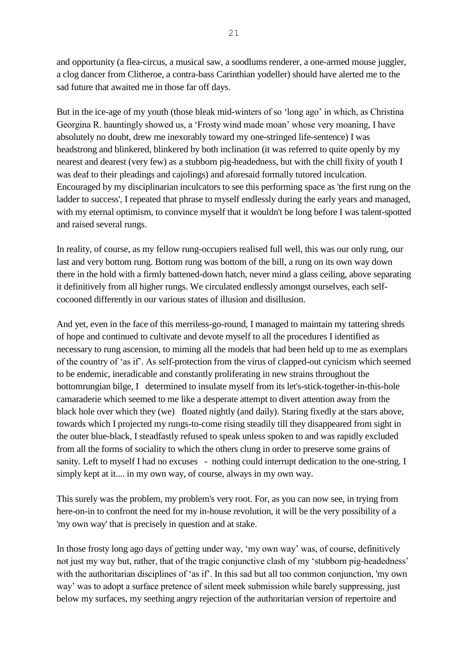and opportunity (a flea-circus, a musical saw, a soodlums renderer, a one-armed mouse juggler, a clog dancer from Clitheroe, a contra-bass Carinthian yodeller) should have alerted me to the sad future that awaited me in those far off days.

But in the ice-age of my youth (those bleak mid-winters of so 'long ago' in which, as Christina Georgina R. hauntingly showed us, a 'Frosty wind made moan' whose very moaning, I have absolutely no doubt, drew me inexorably toward my one-stringed life-sentence) I was headstrong and blinkered, blinkered by both inclination (it was referred to quite openly by my nearest and dearest (very few) as a stubborn pig-headedness, but with the chill fixity of youth I was deaf to their pleadings and cajolings) and aforesaid formally tutored inculcation. Encouraged by my disciplinarian inculcators to see this performing space as 'the first rung on the ladder to success', I repeated that phrase to myself endlessly during the early years and managed, with my eternal optimism, to convince myself that it wouldn't be long before I was talent-spotted and raised several rungs.

In reality, of course, as my fellow rung-occupiers realised full well, this was our only rung, our last and very bottom rung. Bottom rung was bottom of the bill, a rung on its own way down there in the hold with a firmly battened-down hatch, never mind a glass ceiling, above separating it definitively from all higher rungs. We circulated endlessly amongst ourselves, each selfcocooned differently in our various states of illusion and disillusion.

And yet, even in the face of this merriless-go-round, I managed to maintain my tattering shreds of hope and continued to cultivate and devote myself to all the procedures I identified as necessary to rung ascension, to miming all the models that had been held up to me as exemplars of the country of 'as if'. As self-protection from the virus of clapped-out cynicism which seemed to be endemic, ineradicable and constantly proliferating in new strains throughout the bottomrungian bilge, I determined to insulate myself from its let's-stick-together-in-this-hole camaraderie which seemed to me like a desperate attempt to divert attention away from the black hole over which they (we) floated nightly (and daily). Staring fixedly at the stars above, towards which I projected my rungs-to-come rising steadily till they disappeared from sight in the outer blue-black, I steadfastly refused to speak unless spoken to and was rapidly excluded from all the forms of sociality to which the others clung in order to preserve some grains of sanity. Left to myself I had no excuses - nothing could interrupt dedication to the one-string. I simply kept at it.... in my own way, of course, always in my own way.

This surely was the problem, my problem's very root. For, as you can now see, in trying from here-on-in to confront the need for my in-house revolution, it will be the very possibility of a 'my own way' that is precisely in question and at stake.

In those frosty long ago days of getting under way, 'my own way' was, of course, definitively not just my way but, rather, that of the tragic conjunctive clash of my 'stubborn pig-headedness' with the authoritarian disciplines of 'as if'. In this sad but all too common conjunction, 'my own way' was to adopt a surface pretence of silent meek submission while barely suppressing, just below my surfaces, my seething angry rejection of the authoritarian version of repertoire and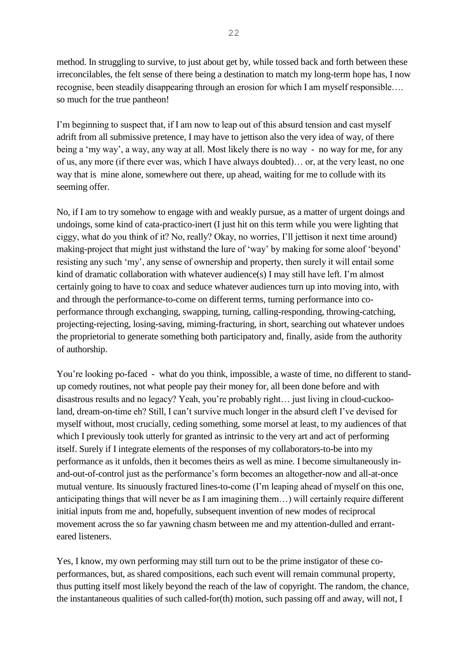method. In struggling to survive, to just about get by, while tossed back and forth between these irreconcilables, the felt sense of there being a destination to match my long-term hope has, I now recognise, been steadily disappearing through an erosion for which I am myself responsible…. so much for the true pantheon!

I'm beginning to suspect that, if I am now to leap out of this absurd tension and cast myself adrift from all submissive pretence, I may have to jettison also the very idea of way, of there being a 'my way', a way, any way at all. Most likely there is no way - no way for me, for any of us, any more (if there ever was, which I have always doubted)… or, at the very least, no one way that is mine alone, somewhere out there, up ahead, waiting for me to collude with its seeming offer.

No, if I am to try somehow to engage with and weakly pursue, as a matter of urgent doings and undoings, some kind of cata-practico-inert (I just hit on this term while you were lighting that ciggy, what do you think of it? No, really? Okay, no worries, I'll jettison it next time around) making-project that might just withstand the lure of 'way' by making for some aloof 'beyond' resisting any such 'my', any sense of ownership and property, then surely it will entail some kind of dramatic collaboration with whatever audience(s) I may still have left. I'm almost certainly going to have to coax and seduce whatever audiences turn up into moving into, with and through the performance-to-come on different terms, turning performance into coperformance through exchanging, swapping, turning, calling-responding, throwing-catching, projecting-rejecting, losing-saving, miming-fracturing, in short, searching out whatever undoes the proprietorial to generate something both participatory and, finally, aside from the authority of authorship.

You're looking po-faced - what do you think, impossible, a waste of time, no different to standup comedy routines, not what people pay their money for, all been done before and with disastrous results and no legacy? Yeah, you're probably right… just living in cloud-cuckooland, dream-on-time eh? Still, I can't survive much longer in the absurd cleft I've devised for myself without, most crucially, ceding something, some morsel at least, to my audiences of that which I previously took utterly for granted as intrinsic to the very art and act of performing itself. Surely if I integrate elements of the responses of my collaborators-to-be into my performance as it unfolds, then it becomes theirs as well as mine. I become simultaneously inand-out-of-control just as the performance's form becomes an altogether-now and all-at-once mutual venture. Its sinuously fractured lines-to-come (I'm leaping ahead of myself on this one, anticipating things that will never be as I am imagining them…) will certainly require different initial inputs from me and, hopefully, subsequent invention of new modes of reciprocal movement across the so far yawning chasm between me and my attention-dulled and erranteared listeners.

Yes, I know, my own performing may still turn out to be the prime instigator of these coperformances, but, as shared compositions, each such event will remain communal property, thus putting itself most likely beyond the reach of the law of copyright. The random, the chance, the instantaneous qualities of such called-for(th) motion, such passing off and away, will not, I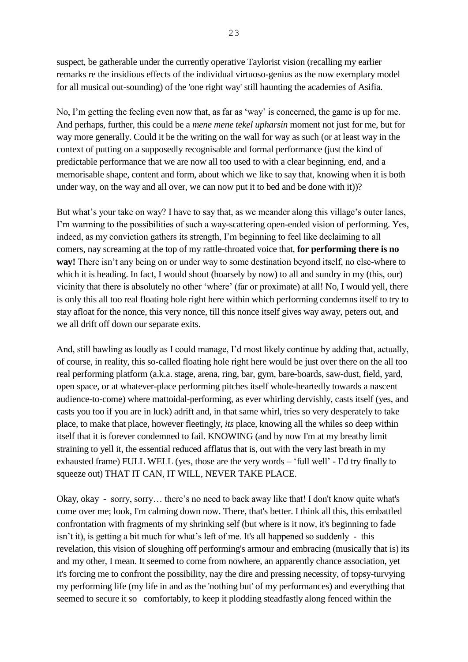suspect, be gatherable under the currently operative Taylorist vision (recalling my earlier remarks re the insidious effects of the individual virtuoso-genius as the now exemplary model for all musical out-sounding) of the 'one right way' still haunting the academies of Asifia.

No, I'm getting the feeling even now that, as far as 'way' is concerned, the game is up for me. And perhaps, further, this could be a *mene mene tekel upharsin* moment not just for me, but for way more generally. Could it be the writing on the wall for way as such (or at least way in the context of putting on a supposedly recognisable and formal performance (just the kind of predictable performance that we are now all too used to with a clear beginning, end, and a memorisable shape, content and form, about which we like to say that, knowing when it is both under way, on the way and all over, we can now put it to bed and be done with it))?

But what's your take on way? I have to say that, as we meander along this village's outer lanes, I'm warming to the possibilities of such a way-scattering open-ended vision of performing. Yes, indeed, as my conviction gathers its strength, I'm beginning to feel like declaiming to all comers, nay screaming at the top of my rattle-throated voice that, **for performing there is no way!** There isn't any being on or under way to some destination beyond itself, no else-where to which it is heading. In fact, I would shout (hoarsely by now) to all and sundry in my (this, our) vicinity that there is absolutely no other 'where' (far or proximate) at all! No, I would yell, there is only this all too real floating hole right here within which performing condemns itself to try to stay afloat for the nonce, this very nonce, till this nonce itself gives way away, peters out, and we all drift off down our separate exits.

And, still bawling as loudly as I could manage, I'd most likely continue by adding that, actually, of course, in reality, this so-called floating hole right here would be just over there on the all too real performing platform (a.k.a. stage, arena, ring, bar, gym, bare-boards, saw-dust, field, yard, open space, or at whatever-place performing pitches itself whole-heartedly towards a nascent audience-to-come) where mattoidal-performing, as ever whirling dervishly, casts itself (yes, and casts you too if you are in luck) adrift and, in that same whirl, tries so very desperately to take place, to make that place, however fleetingly, *its* place, knowing all the whiles so deep within itself that it is forever condemned to fail. KNOWING (and by now I'm at my breathy limit straining to yell it, the essential reduced afflatus that is, out with the very last breath in my exhausted frame) FULL WELL (yes, those are the very words – 'full well' - I'd try finally to squeeze out) THAT IT CAN, IT WILL, NEVER TAKE PLACE.

Okay, okay - sorry, sorry… there's no need to back away like that! I don't know quite what's come over me; look, I'm calming down now. There, that's better. I think all this, this embattled confrontation with fragments of my shrinking self (but where is it now, it's beginning to fade isn't it), is getting a bit much for what's left of me. It's all happened so suddenly - this revelation, this vision of sloughing off performing's armour and embracing (musically that is) its and my other, I mean. It seemed to come from nowhere, an apparently chance association, yet it's forcing me to confront the possibility, nay the dire and pressing necessity, of topsy-turvying my performing life (my life in and as the 'nothing but' of my performances) and everything that seemed to secure it so comfortably, to keep it plodding steadfastly along fenced within the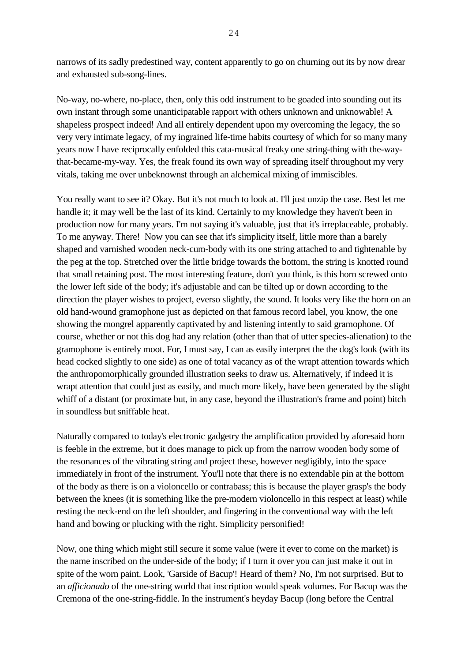narrows of its sadly predestined way, content apparently to go on churning out its by now drear and exhausted sub-song-lines.

No-way, no-where, no-place, then, only this odd instrument to be goaded into sounding out its own instant through some unanticipatable rapport with others unknown and unknowable! A shapeless prospect indeed! And all entirely dependent upon my overcoming the legacy, the so very very intimate legacy, of my ingrained life-time habits courtesy of which for so many many years now I have reciprocally enfolded this cata-musical freaky one string-thing with the-waythat-became-my-way. Yes, the freak found its own way of spreading itself throughout my very vitals, taking me over unbeknownst through an alchemical mixing of immiscibles.

You really want to see it? Okay. But it's not much to look at. I'll just unzip the case. Best let me handle it; it may well be the last of its kind. Certainly to my knowledge they haven't been in production now for many years. I'm not saying it's valuable, just that it's irreplaceable, probably. To me anyway. There! Now you can see that it's simplicity itself, little more than a barely shaped and varnished wooden neck-cum-body with its one string attached to and tightenable by the peg at the top. Stretched over the little bridge towards the bottom, the string is knotted round that small retaining post. The most interesting feature, don't you think, is this horn screwed onto the lower left side of the body; it's adjustable and can be tilted up or down according to the direction the player wishes to project, everso slightly, the sound. It looks very like the horn on an old hand-wound gramophone just as depicted on that famous record label, you know, the one showing the mongrel apparently captivated by and listening intently to said gramophone. Of course, whether or not this dog had any relation (other than that of utter species-alienation) to the gramophone is entirely moot. For, I must say, I can as easily interpret the the dog's look (with its head cocked slightly to one side) as one of total vacancy as of the wrapt attention towards which the anthropomorphically grounded illustration seeks to draw us. Alternatively, if indeed it is wrapt attention that could just as easily, and much more likely, have been generated by the slight whiff of a distant (or proximate but, in any case, beyond the illustration's frame and point) bitch in soundless but sniffable heat.

Naturally compared to today's electronic gadgetry the amplification provided by aforesaid horn is feeble in the extreme, but it does manage to pick up from the narrow wooden body some of the resonances of the vibrating string and project these, however negligibly, into the space immediately in front of the instrument. You'll note that there is no extendable pin at the bottom of the body as there is on a violoncello or contrabass; this is because the player grasp's the body between the knees (it is something like the pre-modern violoncello in this respect at least) while resting the neck-end on the left shoulder, and fingering in the conventional way with the left hand and bowing or plucking with the right. Simplicity personified!

Now, one thing which might still secure it some value (were it ever to come on the market) is the name inscribed on the under-side of the body; if I turn it over you can just make it out in spite of the worn paint. Look, 'Garside of Bacup'! Heard of them? No, I'm not surprised. But to an *afficionado* of the one-string world that inscription would speak volumes. For Bacup was the Cremona of the one-string-fiddle. In the instrument's heyday Bacup (long before the Central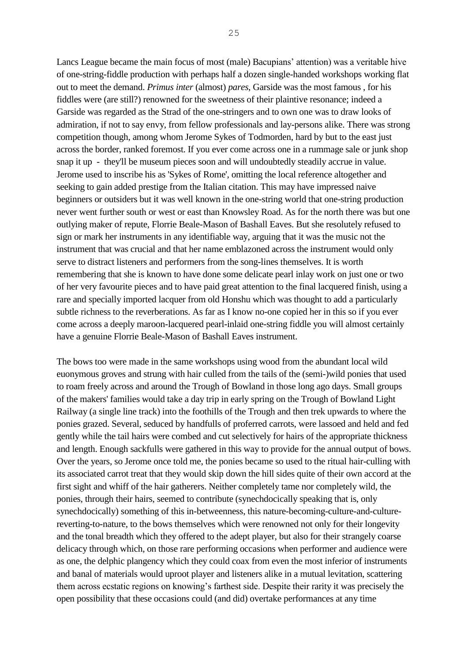Lancs League became the main focus of most (male) Bacupians' attention) was a veritable hive of one-string-fiddle production with perhaps half a dozen single-handed workshops working flat out to meet the demand. *Primus inter* (almost) *pares*, Garside was the most famous , for his fiddles were (are still?) renowned for the sweetness of their plaintive resonance; indeed a Garside was regarded as the Strad of the one-stringers and to own one was to draw looks of admiration, if not to say envy, from fellow professionals and lay-persons alike. There was strong competition though, among whom Jerome Sykes of Todmorden, hard by but to the east just across the border, ranked foremost. If you ever come across one in a rummage sale or junk shop snap it up - they'll be museum pieces soon and will undoubtedly steadily accrue in value. Jerome used to inscribe his as 'Sykes of Rome', omitting the local reference altogether and seeking to gain added prestige from the Italian citation. This may have impressed naive beginners or outsiders but it was well known in the one-string world that one-string production never went further south or west or east than Knowsley Road. As for the north there was but one outlying maker of repute, Florrie Beale-Mason of Bashall Eaves. But she resolutely refused to sign or mark her instruments in any identifiable way, arguing that it was the music not the instrument that was crucial and that her name emblazoned across the instrument would only serve to distract listeners and performers from the song-lines themselves. It is worth remembering that she is known to have done some delicate pearl inlay work on just one or two of her very favourite pieces and to have paid great attention to the final lacquered finish, using a rare and specially imported lacquer from old Honshu which was thought to add a particularly subtle richness to the reverberations. As far as I know no-one copied her in this so if you ever come across a deeply maroon-lacquered pearl-inlaid one-string fiddle you will almost certainly have a genuine Florrie Beale-Mason of Bashall Eaves instrument.

The bows too were made in the same workshops using wood from the abundant local wild euonymous groves and strung with hair culled from the tails of the (semi-)wild ponies that used to roam freely across and around the Trough of Bowland in those long ago days. Small groups of the makers' families would take a day trip in early spring on the Trough of Bowland Light Railway (a single line track) into the foothills of the Trough and then trek upwards to where the ponies grazed. Several, seduced by handfulls of proferred carrots, were lassoed and held and fed gently while the tail hairs were combed and cut selectively for hairs of the appropriate thickness and length. Enough sackfulls were gathered in this way to provide for the annual output of bows. Over the years, so Jerome once told me, the ponies became so used to the ritual hair-culling with its associated carrot treat that they would skip down the hill sides quite of their own accord at the first sight and whiff of the hair gatherers. Neither completely tame nor completely wild, the ponies, through their hairs, seemed to contribute (synechdocically speaking that is, only synechdocically) something of this in-betweenness, this nature-becoming-culture-and-culturereverting-to-nature, to the bows themselves which were renowned not only for their longevity and the tonal breadth which they offered to the adept player, but also for their strangely coarse delicacy through which, on those rare performing occasions when performer and audience were as one, the delphic plangency which they could coax from even the most inferior of instruments and banal of materials would uproot player and listeners alike in a mutual levitation, scattering them across ecstatic regions on knowing's farthest side. Despite their rarity it was precisely the open possibility that these occasions could (and did) overtake performances at any time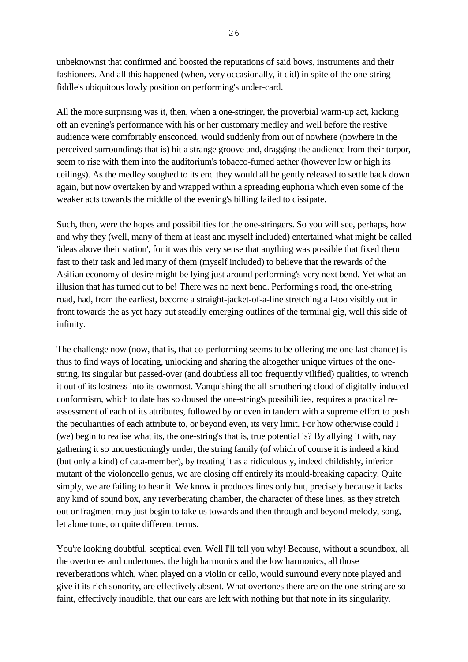unbeknownst that confirmed and boosted the reputations of said bows, instruments and their fashioners. And all this happened (when, very occasionally, it did) in spite of the one-stringfiddle's ubiquitous lowly position on performing's under-card.

All the more surprising was it, then, when a one-stringer, the proverbial warm-up act, kicking off an evening's performance with his or her customary medley and well before the restive audience were comfortably ensconced, would suddenly from out of nowhere (nowhere in the perceived surroundings that is) hit a strange groove and, dragging the audience from their torpor, seem to rise with them into the auditorium's tobacco-fumed aether (however low or high its ceilings). As the medley soughed to its end they would all be gently released to settle back down again, but now overtaken by and wrapped within a spreading euphoria which even some of the weaker acts towards the middle of the evening's billing failed to dissipate.

Such, then, were the hopes and possibilities for the one-stringers. So you will see, perhaps, how and why they (well, many of them at least and myself included) entertained what might be called 'ideas above their station', for it was this very sense that anything was possible that fixed them fast to their task and led many of them (myself included) to believe that the rewards of the Asifian economy of desire might be lying just around performing's very next bend. Yet what an illusion that has turned out to be! There was no next bend. Performing's road, the one-string road, had, from the earliest, become a straight-jacket-of-a-line stretching all-too visibly out in front towards the as yet hazy but steadily emerging outlines of the terminal gig, well this side of infinity.

The challenge now (now, that is, that co-performing seems to be offering me one last chance) is thus to find ways of locating, unlocking and sharing the altogether unique virtues of the onestring, its singular but passed-over (and doubtless all too frequently vilified) qualities, to wrench it out of its lostness into its ownmost. Vanquishing the all-smothering cloud of digitally-induced conformism, which to date has so doused the one-string's possibilities, requires a practical reassessment of each of its attributes, followed by or even in tandem with a supreme effort to push the peculiarities of each attribute to, or beyond even, its very limit. For how otherwise could I (we) begin to realise what its, the one-string's that is, true potential is? By allying it with, nay gathering it so unquestioningly under, the string family (of which of course it is indeed a kind (but only a kind) of cata-member), by treating it as a ridiculously, indeed childishly, inferior mutant of the violoncello genus, we are closing off entirely its mould-breaking capacity. Quite simply, we are failing to hear it. We know it produces lines only but, precisely because it lacks any kind of sound box, any reverberating chamber, the character of these lines, as they stretch out or fragment may just begin to take us towards and then through and beyond melody, song, let alone tune, on quite different terms.

You're looking doubtful, sceptical even. Well I'll tell you why! Because, without a soundbox, all the overtones and undertones, the high harmonics and the low harmonics, all those reverberations which, when played on a violin or cello, would surround every note played and give it its rich sonority, are effectively absent. What overtones there are on the one-string are so faint, effectively inaudible, that our ears are left with nothing but that note in its singularity.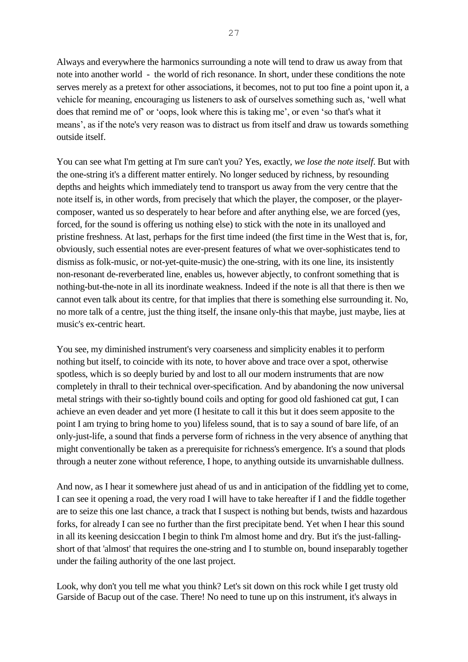Always and everywhere the harmonics surrounding a note will tend to draw us away from that note into another world - the world of rich resonance. In short, under these conditions the note serves merely as a pretext for other associations, it becomes, not to put too fine a point upon it, a vehicle for meaning, encouraging us listeners to ask of ourselves something such as, 'well what does that remind me of' or 'oops, look where this is taking me', or even 'so that's what it means', as if the note's very reason was to distract us from itself and draw us towards something outside itself.

You can see what I'm getting at I'm sure can't you? Yes, exactly, *we lose the note itself*. But with the one-string it's a different matter entirely. No longer seduced by richness, by resounding depths and heights which immediately tend to transport us away from the very centre that the note itself is, in other words, from precisely that which the player, the composer, or the playercomposer, wanted us so desperately to hear before and after anything else, we are forced (yes, forced, for the sound is offering us nothing else) to stick with the note in its unalloyed and pristine freshness. At last, perhaps for the first time indeed (the first time in the West that is, for, obviously, such essential notes are ever-present features of what we over-sophisticates tend to dismiss as folk-music, or not-yet-quite-music) the one-string, with its one line, its insistently non-resonant de-reverberated line, enables us, however abjectly, to confront something that is nothing-but-the-note in all its inordinate weakness. Indeed if the note is all that there is then we cannot even talk about its centre, for that implies that there is something else surrounding it. No, no more talk of a centre, just the thing itself, the insane only-this that maybe, just maybe, lies at music's ex-centric heart.

You see, my diminished instrument's very coarseness and simplicity enables it to perform nothing but itself, to coincide with its note, to hover above and trace over a spot, otherwise spotless, which is so deeply buried by and lost to all our modern instruments that are now completely in thrall to their technical over-specification. And by abandoning the now universal metal strings with their so-tightly bound coils and opting for good old fashioned cat gut, I can achieve an even deader and yet more (I hesitate to call it this but it does seem apposite to the point I am trying to bring home to you) lifeless sound, that is to say a sound of bare life, of an only-just-life, a sound that finds a perverse form of richness in the very absence of anything that might conventionally be taken as a prerequisite for richness's emergence. It's a sound that plods through a neuter zone without reference, I hope, to anything outside its unvarnishable dullness.

And now, as I hear it somewhere just ahead of us and in anticipation of the fiddling yet to come, I can see it opening a road, the very road I will have to take hereafter if I and the fiddle together are to seize this one last chance, a track that I suspect is nothing but bends, twists and hazardous forks, for already I can see no further than the first precipitate bend. Yet when I hear this sound in all its keening desiccation I begin to think I'm almost home and dry. But it's the just-fallingshort of that 'almost' that requires the one-string and I to stumble on, bound inseparably together under the failing authority of the one last project.

Look, why don't you tell me what you think? Let's sit down on this rock while I get trusty old Garside of Bacup out of the case. There! No need to tune up on this instrument, it's always in